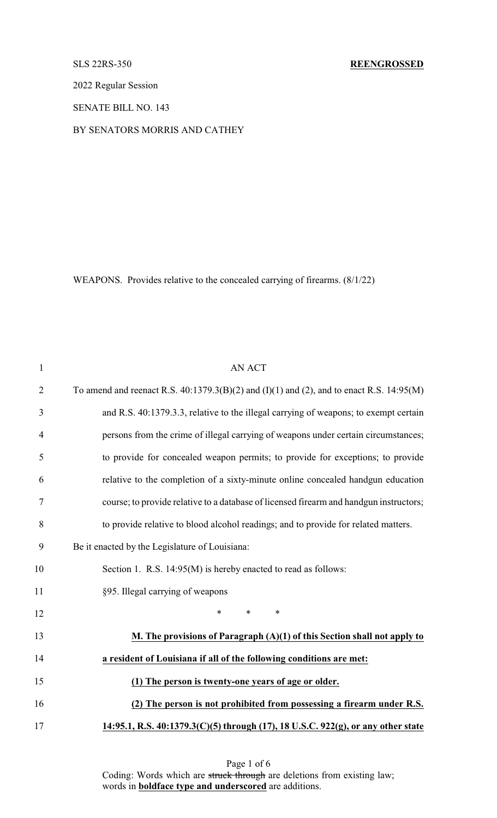2022 Regular Session

SENATE BILL NO. 143

## BY SENATORS MORRIS AND CATHEY

WEAPONS. Provides relative to the concealed carrying of firearms. (8/1/22)

| $\mathbf{1}$   | <b>AN ACT</b>                                                                                   |
|----------------|-------------------------------------------------------------------------------------------------|
| $\overline{2}$ | To amend and reenact R.S. $40:1379.3(B)(2)$ and $(I)(1)$ and $(2)$ , and to enact R.S. 14:95(M) |
| 3              | and R.S. 40:1379.3.3, relative to the illegal carrying of weapons; to exempt certain            |
| $\overline{4}$ | persons from the crime of illegal carrying of weapons under certain circumstances;              |
| 5              | to provide for concealed weapon permits; to provide for exceptions; to provide                  |
| 6              | relative to the completion of a sixty-minute online concealed handgun education                 |
| $\tau$         | course; to provide relative to a database of licensed firearm and handgun instructors;          |
| 8              | to provide relative to blood alcohol readings; and to provide for related matters.              |
| 9              | Be it enacted by the Legislature of Louisiana:                                                  |
| 10             | Section 1. R.S. 14:95(M) is hereby enacted to read as follows:                                  |
| 11             | §95. Illegal carrying of weapons                                                                |
| 12             | $\ast$<br>$\ast$<br>$\ast$                                                                      |
| 13             | M. The provisions of Paragraph $(A)(1)$ of this Section shall not apply to                      |
| 14             | a resident of Louisiana if all of the following conditions are met:                             |
| 15             | (1) The person is twenty-one years of age or older.                                             |
| 16             | (2) The person is not prohibited from possessing a firearm under R.S.                           |
| 17             | 14:95.1, R.S. 40:1379.3(C)(5) through (17), 18 U.S.C. 922(g), or any other state                |

Page 1 of 6 Coding: Words which are struck through are deletions from existing law; words in **boldface type and underscored** are additions.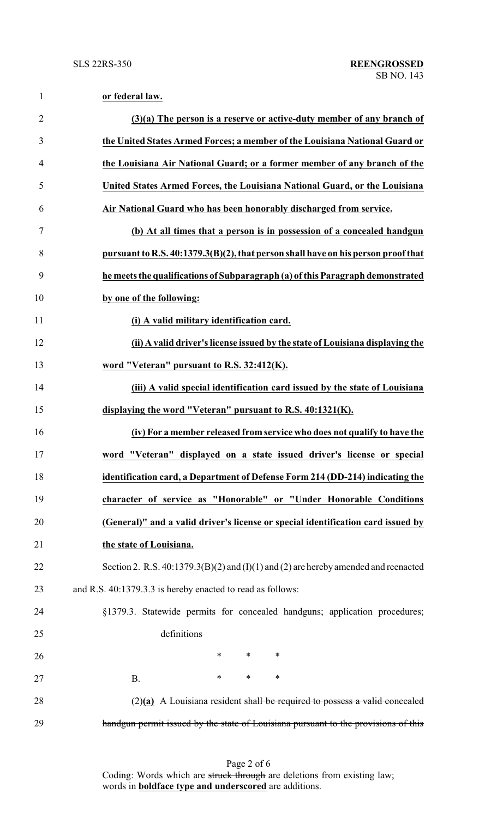| $\mathbf{1}$   | or federal law.                                                                           |
|----------------|-------------------------------------------------------------------------------------------|
| $\overline{2}$ | $(3)(a)$ The person is a reserve or active-duty member of any branch of                   |
| 3              | the United States Armed Forces; a member of the Louisiana National Guard or               |
| $\overline{4}$ | the Louisiana Air National Guard; or a former member of any branch of the                 |
| 5              | United States Armed Forces, the Louisiana National Guard, or the Louisiana                |
| 6              | Air National Guard who has been honorably discharged from service.                        |
| 7              | (b) At all times that a person is in possession of a concealed handgun                    |
| 8              | pursuant to R.S. 40:1379.3(B)(2), that person shall have on his person proof that         |
| 9              | he meets the qualifications of Subparagraph (a) of this Paragraph demonstrated            |
| 10             | by one of the following:                                                                  |
| 11             | (i) A valid military identification card.                                                 |
| 12             | (ii) A valid driver's license issued by the state of Louisiana displaying the             |
| 13             | word "Veteran" pursuant to R.S. 32:412(K).                                                |
| 14             | (iii) A valid special identification card issued by the state of Louisiana                |
| 15             | displaying the word "Veteran" pursuant to R.S. 40:1321(K).                                |
| 16             | (iv) For a member released from service who does not qualify to have the                  |
| 17             | word "Veteran" displayed on a state issued driver's license or special                    |
| 18             | identification card, a Department of Defense Form 214 (DD-214) indicating the             |
| 19             | character of service as "Honorable" or "Under Honorable Conditions                        |
| 20             | (General)" and a valid driver's license or special identification card issued by          |
| 21             | the state of Louisiana.                                                                   |
| 22             | Section 2. R.S. $40:1379.3(B)(2)$ and $(I)(1)$ and $(2)$ are hereby amended and reenacted |
| 23             | and R.S. 40:1379.3.3 is hereby enacted to read as follows:                                |
| 24             | §1379.3. Statewide permits for concealed handguns; application procedures;                |
| 25             | definitions                                                                               |
| 26             | $\ast$<br>$\ast$<br>$\ast$                                                                |
| 27             | $\ast$<br>$\ast$<br>$\ast$<br><b>B.</b>                                                   |
| 28             | $(2)(a)$ A Louisiana resident shall be required to possess a valid concealed              |
| 29             | handgun permit issued by the state of Louisiana pursuant to the provisions of this        |

Page 2 of 6 Coding: Words which are struck through are deletions from existing law; words in **boldface type and underscored** are additions.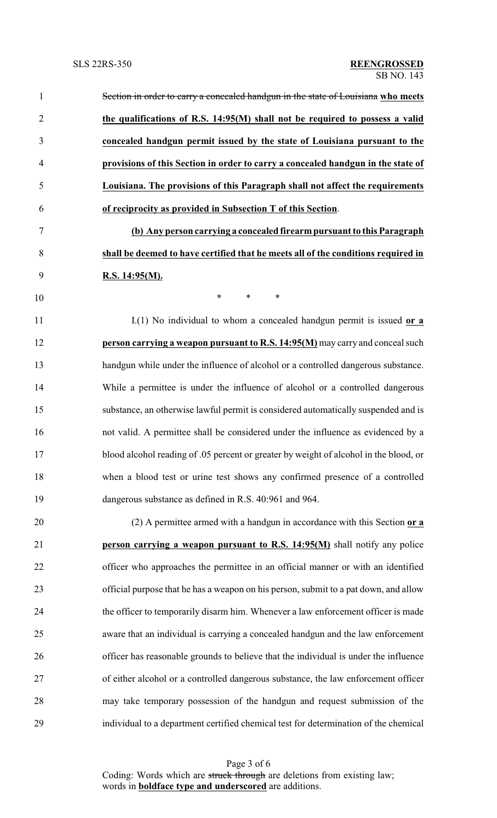| $\mathbf{1}$   | Section in order to carry a concealed handgun in the state of Louisiana who meets     |
|----------------|---------------------------------------------------------------------------------------|
| $\overline{2}$ | the qualifications of R.S. 14:95(M) shall not be required to possess a valid          |
| 3              | concealed handgun permit issued by the state of Louisiana pursuant to the             |
| $\overline{4}$ | provisions of this Section in order to carry a concealed handgun in the state of      |
| 5              | Louisiana. The provisions of this Paragraph shall not affect the requirements         |
| 6              | of reciprocity as provided in Subsection T of this Section.                           |
| 7              | (b) Any person carrying a concealed firearm pursuant to this Paragraph                |
| 8              | shall be deemed to have certified that he meets all of the conditions required in     |
| 9              | R.S. 14:95(M).                                                                        |
| 10             | $\ast$<br>$\ast$<br>$\ast$                                                            |
| 11             | $I(1)$ No individual to whom a concealed handgun permit is issued or a                |
| 12             | person carrying a weapon pursuant to R.S. 14:95(M) may carry and conceal such         |
| 13             | handgun while under the influence of alcohol or a controlled dangerous substance.     |
| 14             | While a permittee is under the influence of alcohol or a controlled dangerous         |
| 15             | substance, an otherwise lawful permit is considered automatically suspended and is    |
| 16             | not valid. A permittee shall be considered under the influence as evidenced by a      |
| 17             | blood alcohol reading of .05 percent or greater by weight of alcohol in the blood, or |
| 18             | when a blood test or urine test shows any confirmed presence of a controlled          |
| 19             | dangerous substance as defined in R.S. 40:961 and 964.                                |
| 20             | (2) A permittee armed with a handgun in accordance with this Section or a             |
| 21             | <b>person carrying a weapon pursuant to R.S. 14:95(M)</b> shall notify any police     |
| 22             | officer who approaches the permittee in an official manner or with an identified      |
| 23             | official purpose that he has a weapon on his person, submit to a pat down, and allow  |
| 24             | the officer to temporarily disarm him. Whenever a law enforcement officer is made     |
| 25             | aware that an individual is carrying a concealed handgun and the law enforcement      |
| 26             | officer has reasonable grounds to believe that the individual is under the influence  |
| 27             | of either alcohol or a controlled dangerous substance, the law enforcement officer    |
| 28             | may take temporary possession of the handgun and request submission of the            |
| 29             | individual to a department certified chemical test for determination of the chemical  |

Page 3 of 6 Coding: Words which are struck through are deletions from existing law; words in **boldface type and underscored** are additions.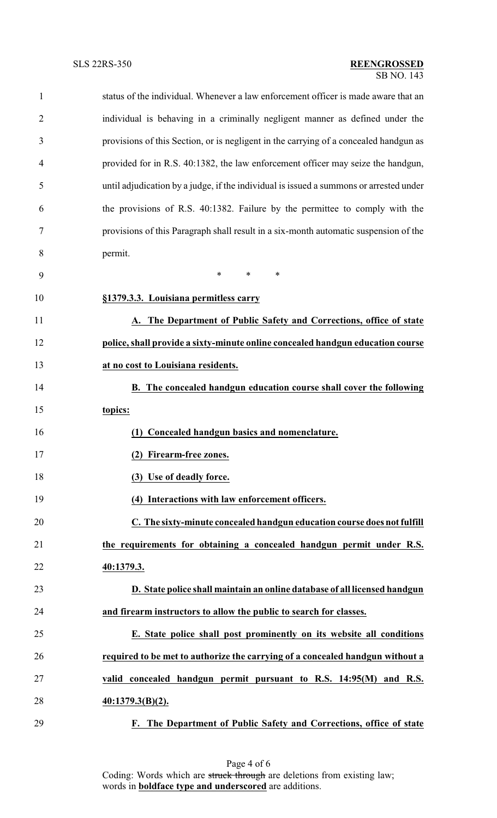| $\mathbf{1}$   | status of the individual. Whenever a law enforcement officer is made aware that an     |
|----------------|----------------------------------------------------------------------------------------|
| $\overline{2}$ | individual is behaving in a criminally negligent manner as defined under the           |
| 3              | provisions of this Section, or is negligent in the carrying of a concealed handgun as  |
| 4              | provided for in R.S. 40:1382, the law enforcement officer may seize the handgun,       |
| 5              | until adjudication by a judge, if the individual is issued a summons or arrested under |
| 6              | the provisions of R.S. 40:1382. Failure by the permittee to comply with the            |
| 7              | provisions of this Paragraph shall result in a six-month automatic suspension of the   |
| 8              | permit.                                                                                |
| 9              | $\ast$<br>$\ast$<br>$\ast$                                                             |
| 10             | §1379.3.3. Louisiana permitless carry                                                  |
| 11             | A. The Department of Public Safety and Corrections, office of state                    |
| 12             | police, shall provide a sixty-minute online concealed handgun education course         |
| 13             | at no cost to Louisiana residents.                                                     |
| 14             | <b>B.</b> The concealed handgun education course shall cover the following             |
| 15             | topics:                                                                                |
| 16             | (1) Concealed handgun basics and nomenclature.                                         |
| 17             | (2) Firearm-free zones.                                                                |
| 18             | (3) Use of deadly force.                                                               |
| 19             | (4) Interactions with law enforcement officers.                                        |
| 20             | C. The sixty-minute concealed handgun education course does not fulfill                |
| 21             | the requirements for obtaining a concealed handgun permit under R.S.                   |
| 22             | 40:1379.3.                                                                             |
| 23             | D. State police shall maintain an online database of all licensed handgun              |
| 24             | and firearm instructors to allow the public to search for classes.                     |
| 25             | E. State police shall post prominently on its website all conditions                   |
| 26             | required to be met to authorize the carrying of a concealed handgun without a          |
| 27             | valid concealed handgun permit pursuant to R.S. 14:95(M) and R.S.                      |
| 28             | $40:1379.3(B)(2)$ .                                                                    |
| 29             | F. The Department of Public Safety and Corrections, office of state                    |

Page 4 of 6 Coding: Words which are struck through are deletions from existing law; words in **boldface type and underscored** are additions.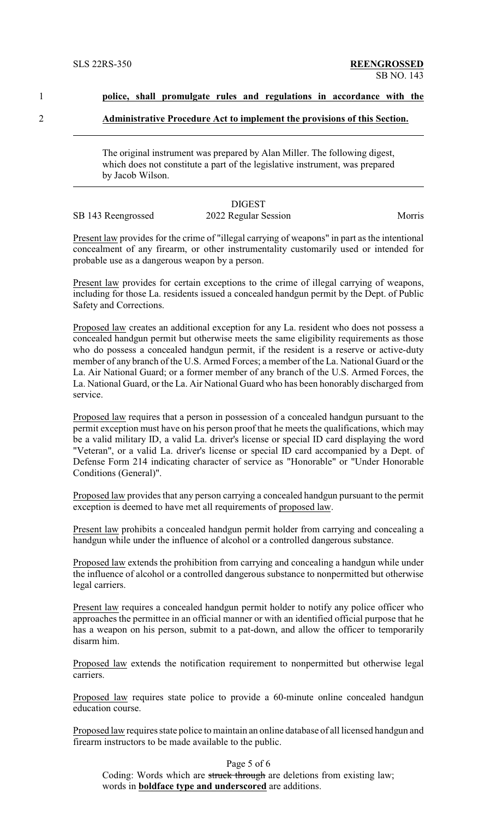1 **police, shall promulgate rules and regulations in accordance with the**

2 **Administrative Procedure Act to implement the provisions of this Section.**

The original instrument was prepared by Alan Miller. The following digest, which does not constitute a part of the legislative instrument, was prepared by Jacob Wilson.

|                    | <b>DIGEST</b>        |        |
|--------------------|----------------------|--------|
| SB 143 Reengrossed | 2022 Regular Session | Morris |

Present law provides for the crime of "illegal carrying of weapons" in part as the intentional concealment of any firearm, or other instrumentality customarily used or intended for probable use as a dangerous weapon by a person.

Present law provides for certain exceptions to the crime of illegal carrying of weapons, including for those La. residents issued a concealed handgun permit by the Dept. of Public Safety and Corrections.

Proposed law creates an additional exception for any La. resident who does not possess a concealed handgun permit but otherwise meets the same eligibility requirements as those who do possess a concealed handgun permit, if the resident is a reserve or active-duty member of any branch of the U.S. Armed Forces; a member of the La. National Guard or the La. Air National Guard; or a former member of any branch of the U.S. Armed Forces, the La. National Guard, or the La. Air National Guard who has been honorably discharged from service.

Proposed law requires that a person in possession of a concealed handgun pursuant to the permit exception must have on his person proof that he meets the qualifications, which may be a valid military ID, a valid La. driver's license or special ID card displaying the word "Veteran", or a valid La. driver's license or special ID card accompanied by a Dept. of Defense Form 214 indicating character of service as "Honorable" or "Under Honorable Conditions (General)".

Proposed law provides that any person carrying a concealed handgun pursuant to the permit exception is deemed to have met all requirements of proposed law.

Present law prohibits a concealed handgun permit holder from carrying and concealing a handgun while under the influence of alcohol or a controlled dangerous substance.

Proposed law extends the prohibition from carrying and concealing a handgun while under the influence of alcohol or a controlled dangerous substance to nonpermitted but otherwise legal carriers.

Present law requires a concealed handgun permit holder to notify any police officer who approaches the permittee in an official manner or with an identified official purpose that he has a weapon on his person, submit to a pat-down, and allow the officer to temporarily disarm him.

Proposed law extends the notification requirement to nonpermitted but otherwise legal carriers.

Proposed law requires state police to provide a 60-minute online concealed handgun education course.

Proposed law requires state police to maintain an online database of all licensed handgun and firearm instructors to be made available to the public.

Page 5 of 6

Coding: Words which are struck through are deletions from existing law; words in **boldface type and underscored** are additions.